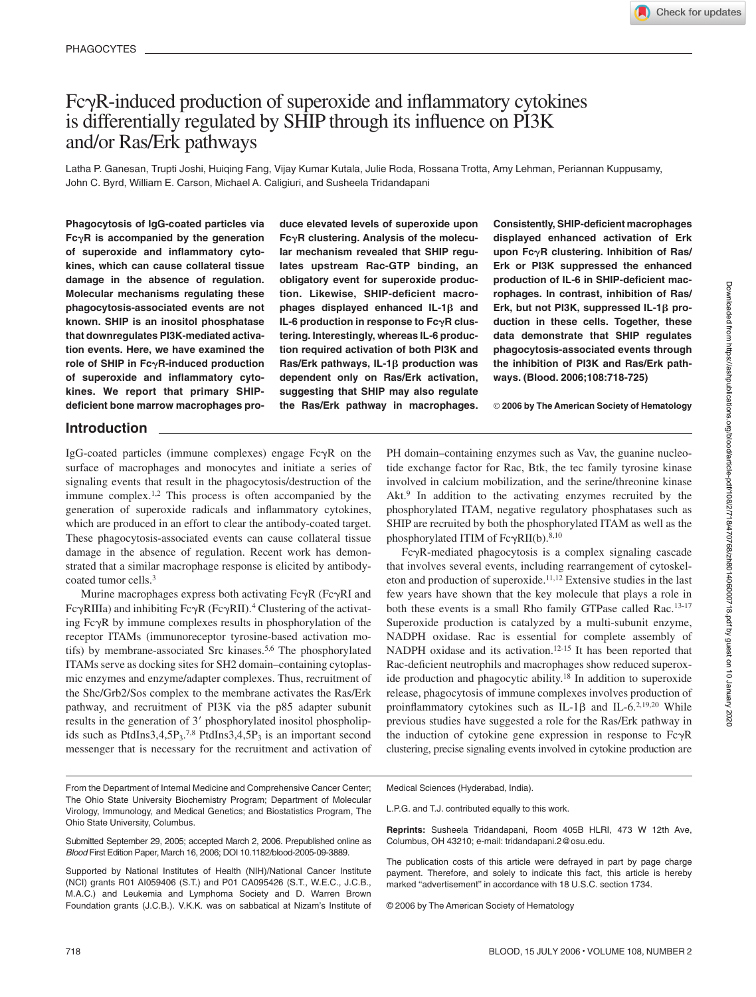# $Fc\gamma R$ -induced production of superoxide and inflammatory cytokines is differentially regulated by SHIP through its influence on PI3K and/or Ras/Erk pathways

Latha P. Ganesan, Trupti Joshi, Huiqing Fang, Vijay Kumar Kutala, Julie Roda, Rossana Trotta, Amy Lehman, Periannan Kuppusamy, John C. Byrd, William E. Carson, Michael A. Caligiuri, and Susheela Tridandapani

**Phagocytosis of IgG-coated particles via FcR is accompanied by the generation of superoxide and inflammatory cytokines, which can cause collateral tissue damage in the absence of regulation. Molecular mechanisms regulating these phagocytosis-associated events are not known. SHIP is an inositol phosphatase that downregulates PI3K-mediated activation events. Here, we have examined the role of SHIP in FcR-induced production of superoxide and inflammatory cytokines. We report that primary SHIPdeficient bone marrow macrophages pro-** **duce elevated levels of superoxide upon FcR clustering. Analysis of the molecular mechanism revealed that SHIP regulates upstream Rac-GTP binding, an obligatory event for superoxide production. Likewise, SHIP-deficient macro**phages displayed enhanced  $IL-1\beta$  and IL-6 production in response to Fc $\gamma$ R clus**tering. Interestingly, whereas IL-6 production required activation of both PI3K and Ras/Erk pathways, IL-1β production was dependent only on Ras/Erk activation, suggesting that SHIP may also regulate the Ras/Erk pathway in macrophages.**

**Consistently, SHIP-deficient macrophages displayed enhanced activation of Erk upon FcR clustering. Inhibition of Ras/ Erk or PI3K suppressed the enhanced production of IL-6 in SHIP-deficient macrophages. In contrast, inhibition of Ras/** Erk, but not PI3K, suppressed IL-1 $\beta$  pro**duction in these cells. Together, these data demonstrate that SHIP regulates phagocytosis-associated events through the inhibition of PI3K and Ras/Erk pathways. (Blood. 2006;108:718-725)**

© **2006 by The American Society of Hematology**

# **Introduction**

IgG-coated particles (immune complexes) engage  $Fc\gamma R$  on the surface of macrophages and monocytes and initiate a series of signaling events that result in the phagocytosis/destruction of the immune complex.1,2 This process is often accompanied by the generation of superoxide radicals and inflammatory cytokines, which are produced in an effort to clear the antibody-coated target. These phagocytosis-associated events can cause collateral tissue damage in the absence of regulation. Recent work has demonstrated that a similar macrophage response is elicited by antibodycoated tumor cells.3

Murine macrophages express both activating  $Fc\gamma R$  ( $Fc\gamma RI$  and Fc $\gamma$ RIIIa) and inhibiting Fc $\gamma$ R (Fc $\gamma$ RII).<sup>4</sup> Clustering of the activating  $Fc\gamma R$  by immune complexes results in phosphorylation of the receptor ITAMs (immunoreceptor tyrosine-based activation motifs) by membrane-associated Src kinases.5,6 The phosphorylated ITAMs serve as docking sites for SH2 domain–containing cytoplasmic enzymes and enzyme/adapter complexes. Thus, recruitment of the Shc/Grb2/Sos complex to the membrane activates the Ras/Erk pathway, and recruitment of PI3K via the p85 adapter subunit results in the generation of 3' phosphorylated inositol phospholipids such as PtdIns3,4,5P<sub>3</sub>.<sup>7,8</sup> PtdIns3,4,5P<sub>3</sub> is an important second messenger that is necessary for the recruitment and activation of PH domain–containing enzymes such as Vav, the guanine nucleotide exchange factor for Rac, Btk, the tec family tyrosine kinase involved in calcium mobilization, and the serine/threonine kinase Akt.<sup>9</sup> In addition to the activating enzymes recruited by the phosphorylated ITAM, negative regulatory phosphatases such as SHIP are recruited by both the phosphorylated ITAM as well as the phosphorylated ITIM of  $Fc\gamma RII(b).^{8,10}$ 

FcR-mediated phagocytosis is a complex signaling cascade that involves several events, including rearrangement of cytoskeleton and production of superoxide.11,12 Extensive studies in the last few years have shown that the key molecule that plays a role in both these events is a small Rho family GTPase called Rac.<sup>13-17</sup> Superoxide production is catalyzed by a multi-subunit enzyme, NADPH oxidase. Rac is essential for complete assembly of NADPH oxidase and its activation.12-15 It has been reported that Rac-deficient neutrophils and macrophages show reduced superoxide production and phagocytic ability.18 In addition to superoxide release, phagocytosis of immune complexes involves production of proinflammatory cytokines such as IL-1 $\beta$  and IL-6.<sup>2,19,20</sup> While previous studies have suggested a role for the Ras/Erk pathway in the induction of cytokine gene expression in response to  $Fc\gamma R$ clustering, precise signaling events involved in cytokine production are

From the Department of Internal Medicine and Comprehensive Cancer Center; The Ohio State University Biochemistry Program; Department of Molecular Virology, Immunology, and Medical Genetics; and Biostatistics Program, The Ohio State University, Columbus.

Submitted September 29, 2005; accepted March 2, 2006. Prepublished online as *Blood* First Edition Paper, March 16, 2006; DOI 10.1182/blood-2005-09-3889.

Supported by National Institutes of Health (NIH)/National Cancer Institute (NCI) grants R01 AI059406 (S.T.) and P01 CA095426 (S.T., W.E.C., J.C.B., M.A.C.) and Leukemia and Lymphoma Society and D. Warren Brown Foundation grants (J.C.B.). V.K.K. was on sabbatical at Nizam's Institute of

Medical Sciences (Hyderabad, India).

L.P.G. and T.J. contributed equally to this work.

**Reprints:** Susheela Tridandapani, Room 405B HLRI, 473 W 12th Ave, Columbus, OH 43210; e-mail: tridandapani.2@osu.edu.

The publication costs of this article were defrayed in part by page charge payment. Therefore, and solely to indicate this fact, this article is hereby marked "advertisement" in accordance with 18 U.S.C. section 1734.

© 2006 by The American Society of Hematology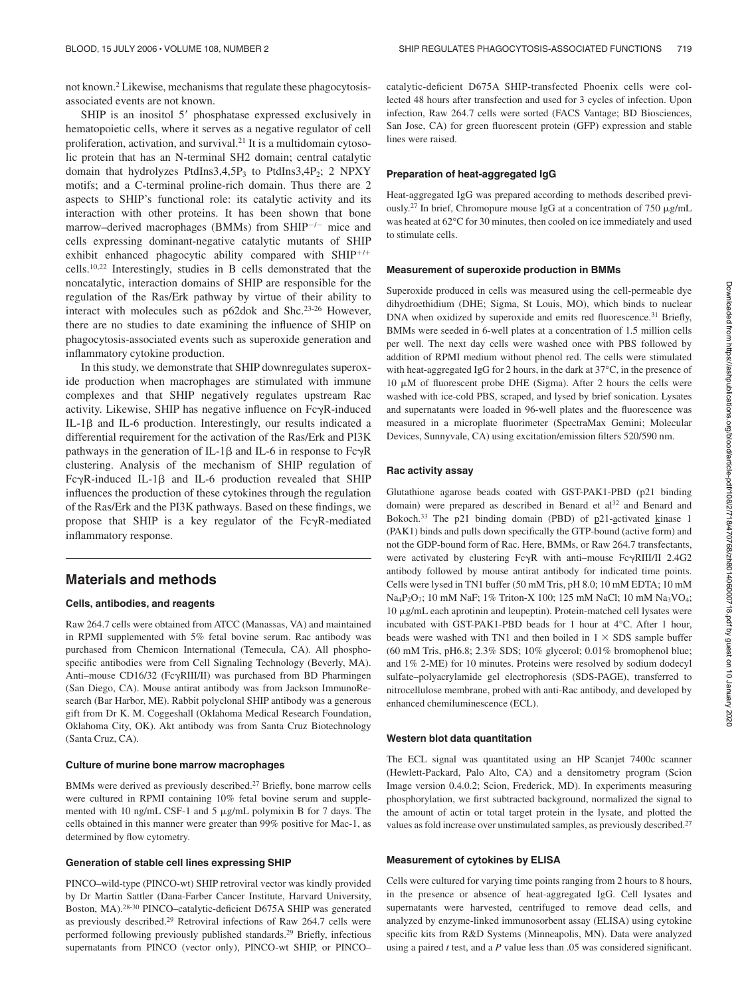not known.2 Likewise, mechanisms that regulate these phagocytosisassociated events are not known.

SHIP is an inositol 5' phosphatase expressed exclusively in hematopoietic cells, where it serves as a negative regulator of cell proliferation, activation, and survival. $2<sup>1</sup>$  It is a multidomain cytosolic protein that has an N-terminal SH2 domain; central catalytic domain that hydrolyzes PtdIns3,4,5P<sub>3</sub> to PtdIns3,4P<sub>2</sub>; 2 NPXY motifs; and a C-terminal proline-rich domain. Thus there are 2 aspects to SHIP's functional role: its catalytic activity and its interaction with other proteins. It has been shown that bone marrow–derived macrophages (BMMs) from SHIP<sup>-/-</sup> mice and cells expressing dominant-negative catalytic mutants of SHIP exhibit enhanced phagocytic ability compared with  $SHIP^{+/+}$ cells.10,22 Interestingly, studies in B cells demonstrated that the noncatalytic, interaction domains of SHIP are responsible for the regulation of the Ras/Erk pathway by virtue of their ability to interact with molecules such as p62dok and Shc.23-26 However, there are no studies to date examining the influence of SHIP on phagocytosis-associated events such as superoxide generation and inflammatory cytokine production.

In this study, we demonstrate that SHIP downregulates superoxide production when macrophages are stimulated with immune complexes and that SHIP negatively regulates upstream Rac activity. Likewise, SHIP has negative influence on  $Fc\gamma R$ -induced IL-1 $\beta$  and IL-6 production. Interestingly, our results indicated a differential requirement for the activation of the Ras/Erk and PI3K pathways in the generation of IL-1 $\beta$  and IL-6 in response to Fc $\gamma$ R clustering. Analysis of the mechanism of SHIP regulation of Fc $\gamma$ R-induced IL-1 $\beta$  and IL-6 production revealed that SHIP influences the production of these cytokines through the regulation of the Ras/Erk and the PI3K pathways. Based on these findings, we propose that SHIP is a key regulator of the  $Fc\gamma R$ -mediated inflammatory response.

# **Materials and methods**

#### **Cells, antibodies, and reagents**

Raw 264.7 cells were obtained from ATCC (Manassas, VA) and maintained in RPMI supplemented with 5% fetal bovine serum. Rac antibody was purchased from Chemicon International (Temecula, CA). All phosphospecific antibodies were from Cell Signaling Technology (Beverly, MA). Anti–mouse CD16/32 (FcRIII/II) was purchased from BD Pharmingen (San Diego, CA). Mouse antirat antibody was from Jackson ImmunoResearch (Bar Harbor, ME). Rabbit polyclonal SHIP antibody was a generous gift from Dr K. M. Coggeshall (Oklahoma Medical Research Foundation, Oklahoma City, OK). Akt antibody was from Santa Cruz Biotechnology (Santa Cruz, CA).

#### **Culture of murine bone marrow macrophages**

BMMs were derived as previously described.<sup>27</sup> Briefly, bone marrow cells were cultured in RPMI containing 10% fetal bovine serum and supplemented with 10 ng/mL CSF-1 and 5 µg/mL polymixin B for 7 days. The cells obtained in this manner were greater than 99% positive for Mac-1, as determined by flow cytometry.

#### **Generation of stable cell lines expressing SHIP**

PINCO–wild-type (PINCO-wt) SHIP retroviral vector was kindly provided by Dr Martin Sattler (Dana-Farber Cancer Institute, Harvard University, Boston, MA).28-30 PINCO–catalytic-deficient D675A SHIP was generated as previously described.29 Retroviral infections of Raw 264.7 cells were performed following previously published standards.29 Briefly, infectious supernatants from PINCO (vector only), PINCO-wt SHIP, or PINCO–

catalytic-deficient D675A SHIP-transfected Phoenix cells were collected 48 hours after transfection and used for 3 cycles of infection. Upon infection, Raw 264.7 cells were sorted (FACS Vantage; BD Biosciences, San Jose, CA) for green fluorescent protein (GFP) expression and stable lines were raised.

#### **Preparation of heat-aggregated IgG**

Heat-aggregated IgG was prepared according to methods described previously.<sup>27</sup> In brief, Chromopure mouse IgG at a concentration of 750  $\mu$ g/mL was heated at 62°C for 30 minutes, then cooled on ice immediately and used to stimulate cells.

#### **Measurement of superoxide production in BMMs**

Superoxide produced in cells was measured using the cell-permeable dye dihydroethidium (DHE; Sigma, St Louis, MO), which binds to nuclear DNA when oxidized by superoxide and emits red fluorescence.<sup>31</sup> Briefly, BMMs were seeded in 6-well plates at a concentration of 1.5 million cells per well. The next day cells were washed once with PBS followed by addition of RPMI medium without phenol red. The cells were stimulated with heat-aggregated IgG for 2 hours, in the dark at 37°C, in the presence of 10 M of fluorescent probe DHE (Sigma). After 2 hours the cells were washed with ice-cold PBS, scraped, and lysed by brief sonication. Lysates and supernatants were loaded in 96-well plates and the fluorescence was measured in a microplate fluorimeter (SpectraMax Gemini; Molecular Devices, Sunnyvale, CA) using excitation/emission filters 520/590 nm.

#### **Rac activity assay**

Glutathione agarose beads coated with GST-PAK1-PBD (p21 binding domain) were prepared as described in Benard et al<sup>32</sup> and Benard and Bokoch.33 The p21 binding domain (PBD) of p21-activated kinase 1 (PAK1) binds and pulls down specifically the GTP-bound (active form) and not the GDP-bound form of Rac. Here, BMMs, or Raw 264.7 transfectants, were activated by clustering  $Fc\gamma R$  with anti-mouse  $Fc\gamma RIII/II$  2.4G2 antibody followed by mouse antirat antibody for indicated time points. Cells were lysed in TN1 buffer (50 mM Tris, pH 8.0; 10 mM EDTA; 10 mM Na4P2O7; 10 mM NaF; 1% Triton-X 100; 125 mM NaCl; 10 mM Na3VO4; 10 μg/mL each aprotinin and leupeptin). Protein-matched cell lysates were incubated with GST-PAK1-PBD beads for 1 hour at 4°C. After 1 hour, beads were washed with TN1 and then boiled in  $1 \times$  SDS sample buffer (60 mM Tris, pH6.8; 2.3% SDS; 10% glycerol; 0.01% bromophenol blue; and 1% 2-ME) for 10 minutes. Proteins were resolved by sodium dodecyl sulfate–polyacrylamide gel electrophoresis (SDS-PAGE), transferred to nitrocellulose membrane, probed with anti-Rac antibody, and developed by enhanced chemiluminescence (ECL).

#### **Western blot data quantitation**

The ECL signal was quantitated using an HP Scanjet 7400c scanner (Hewlett-Packard, Palo Alto, CA) and a densitometry program (Scion Image version 0.4.0.2; Scion, Frederick, MD). In experiments measuring phosphorylation, we first subtracted background, normalized the signal to the amount of actin or total target protein in the lysate, and plotted the values as fold increase over unstimulated samples, as previously described.<sup>27</sup>

#### **Measurement of cytokines by ELISA**

Cells were cultured for varying time points ranging from 2 hours to 8 hours, in the presence or absence of heat-aggregated IgG. Cell lysates and supernatants were harvested, centrifuged to remove dead cells, and analyzed by enzyme-linked immunosorbent assay (ELISA) using cytokine specific kits from R&D Systems (Minneapolis, MN). Data were analyzed using a paired *t* test, and a *P* value less than .05 was considered significant.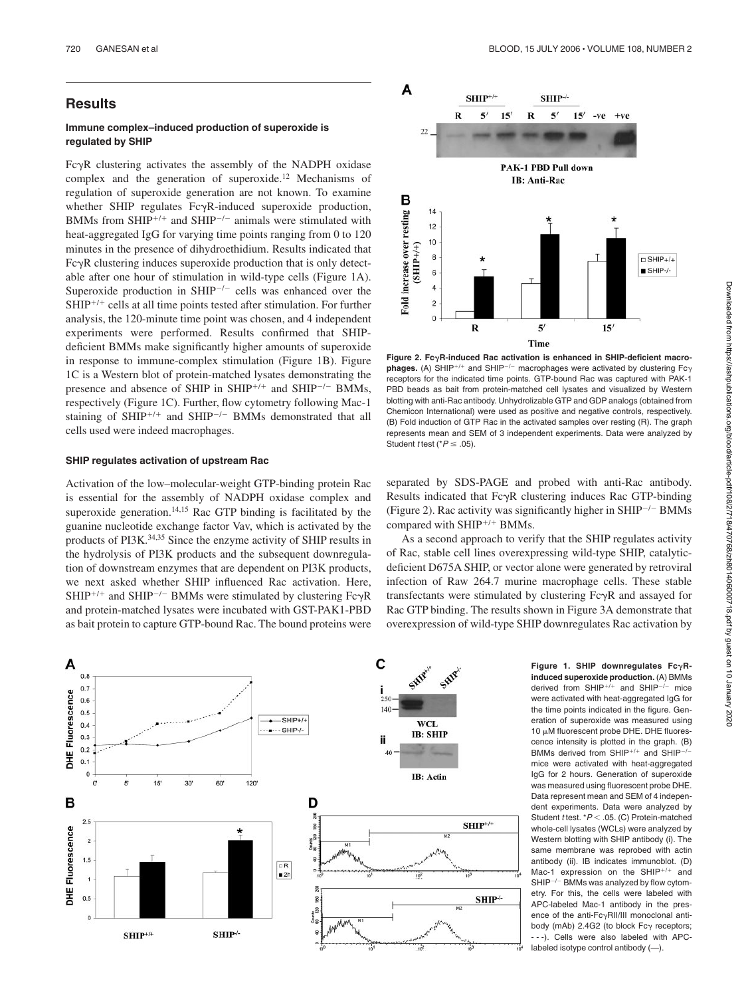# **Results**

## **Immune complex–induced production of superoxide is regulated by SHIP**

Fc $\gamma$ R clustering activates the assembly of the NADPH oxidase complex and the generation of superoxide.12 Mechanisms of regulation of superoxide generation are not known. To examine whether SHIP regulates  $Fc\gamma R$ -induced superoxide production, BMMs from SHIP<sup>+/+</sup> and SHIP<sup>-/-</sup> animals were stimulated with heat-aggregated IgG for varying time points ranging from 0 to 120 minutes in the presence of dihydroethidium. Results indicated that  $Fc\gamma R$  clustering induces superoxide production that is only detectable after one hour of stimulation in wild-type cells (Figure 1A). Superoxide production in  $SHIP^{-/-}$  cells was enhanced over the  $SHIP^{+/+}$  cells at all time points tested after stimulation. For further analysis, the 120-minute time point was chosen, and 4 independent experiments were performed. Results confirmed that SHIPdeficient BMMs make significantly higher amounts of superoxide in response to immune-complex stimulation (Figure 1B). Figure 1C is a Western blot of protein-matched lysates demonstrating the presence and absence of SHIP in SHIP<sup>+/+</sup> and SHIP<sup>-/-</sup> BMMs, respectively (Figure 1C). Further, flow cytometry following Mac-1 staining of SHIP<sup>+/+</sup> and SHIP<sup>-/-</sup> BMMs demonstrated that all cells used were indeed macrophages.

# **SHIP regulates activation of upstream Rac**

Activation of the low–molecular-weight GTP-binding protein Rac is essential for the assembly of NADPH oxidase complex and superoxide generation.<sup>14,15</sup> Rac GTP binding is facilitated by the guanine nucleotide exchange factor Vav, which is activated by the products of PI3K.34,35 Since the enzyme activity of SHIP results in the hydrolysis of PI3K products and the subsequent downregulation of downstream enzymes that are dependent on PI3K products, we next asked whether SHIP influenced Rac activation. Here, SHIP<sup>+/+</sup> and SHIP<sup>-/-</sup> BMMs were stimulated by clustering Fc $\gamma$ R and protein-matched lysates were incubated with GST-PAK1-PBD as bait protein to capture GTP-bound Rac. The bound proteins were



As a second approach to verify that the SHIP regulates activity of Rac, stable cell lines overexpressing wild-type SHIP, catalyticdeficient D675A SHIP, or vector alone were generated by retroviral infection of Raw 264.7 murine macrophage cells. These stable transfectants were stimulated by clustering  $Fc\gamma R$  and assayed for Rac GTP binding. The results shown in Figure 3A demonstrate that overexpression of wild-type SHIP downregulates Rac activation by

C Α SHIP  $0.8$  $0.7$ Fluorescence  $0.6$  $140$  $0.5$  $\bullet$  SHIP+/+  $0.4$ WCL  $\cdot \cdot \cdot$  SHIP-/-**IB: SHIP**  $0.3$ ii  $0.2$ ¥  $0.1$  $\mathbf 0$ **IB**: Actin  $\mathbf{O}'$ 5 15 30 60 120 в D  $2.5$  $SHIP^{+/+}$ Ş DHE Fluorescence  $\overline{2}$  $1.5$  $R = 2h$  $\overline{1}$  $0.5$ SHIP+  $SHIP^{+/+}$ SHIP<sup>+</sup>

**induced superoxide production.** (A) BMMs derived from  $SHIP^{+/+}$  and  $SHIP^{-/-}$  mice were activated with heat-aggregated IgG for the time points indicated in the figure. Generation of superoxide was measured using 10 µM fluorescent probe DHE. DHE fluorescence intensity is plotted in the graph. (B) BMMs derived from  $SHIP^{+/+}$  and  $SHIP^{-}$ mice were activated with heat-aggregated IgG for 2 hours. Generation of superoxide was measured using fluorescent probe DHE. Data represent mean and SEM of 4 independent experiments. Data were analyzed by Student *t* test. \*  $P$  < .05. (C) Protein-matched whole-cell lysates (WCLs) were analyzed by Western blotting with SHIP antibody (i). The same membrane was reprobed with actin antibody (ii). IB indicates immunoblot. (D) Mac-1 expression on the SHIP<sup>+/+</sup> and  $SHIP^{-/-}$  BMMs was analyzed by flow cytometry. For this, the cells were labeled with APC-labeled Mac-1 antibody in the presence of the anti- $Fc\gamma$ RII/III monoclonal antibody (mAb)  $2.4G2$  (to block Fc $\gamma$  receptors; - - -). Cells were also labeled with APClabeled isotype control antibody (—).

**Figure 1. SHIP downregulates FcR-**



**Figure 2. FcR-induced Rac activation is enhanced in SHIP-deficient macro**phages. (A) SHIP<sup>+/+</sup> and SHIP<sup>-/-</sup> macrophages were activated by clustering Fc $\gamma$ receptors for the indicated time points. GTP-bound Rac was captured with PAK-1 PBD beads as bait from protein-matched cell lysates and visualized by Western blotting with anti-Rac antibody. Unhydrolizable GTP and GDP analogs (obtained from Chemicon International) were used as positive and negative controls, respectively. (B) Fold induction of GTP Rac in the activated samples over resting (R). The graph represents mean and SEM of 3 independent experiments. Data were analyzed by Student *t* test ( $P \leq .05$ ).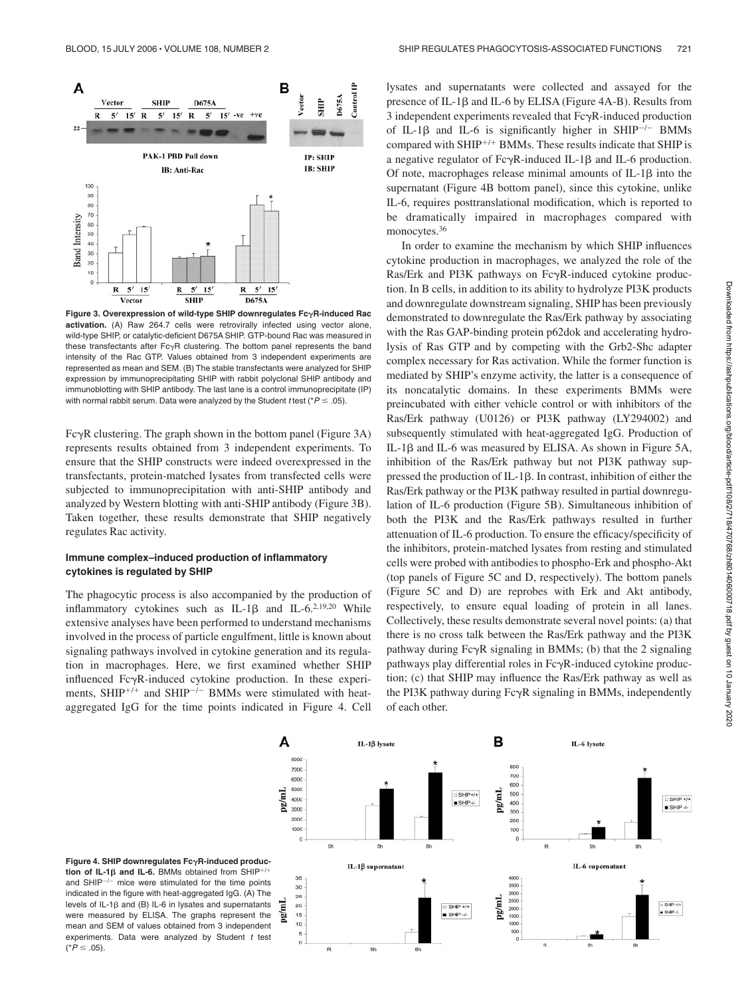

**Figure 3. Overexpression of wild-type SHIP downregulates FcR-induced Rac activation.** (A) Raw 264.7 cells were retrovirally infected using vector alone, wild-type SHIP, or catalytic-deficient D675A SHIP. GTP-bound Rac was measured in these transfectants after Fc $\gamma$ R clustering. The bottom panel represents the band intensity of the Rac GTP. Values obtained from 3 independent experiments are represented as mean and SEM. (B) The stable transfectants were analyzed for SHIP expression by immunoprecipitating SHIP with rabbit polyclonal SHIP antibody and immunoblotting with SHIP antibody. The last lane is a control immunoprecipitate (IP) with normal rabbit serum. Data were analyzed by the Student *t* test ( $P \leq .05$ ).

 $Fc\gamma R$  clustering. The graph shown in the bottom panel (Figure 3A) represents results obtained from 3 independent experiments. To ensure that the SHIP constructs were indeed overexpressed in the transfectants, protein-matched lysates from transfected cells were subjected to immunoprecipitation with anti-SHIP antibody and analyzed by Western blotting with anti-SHIP antibody (Figure 3B). Taken together, these results demonstrate that SHIP negatively regulates Rac activity.

## **Immune complex–induced production of inflammatory cytokines is regulated by SHIP**

The phagocytic process is also accompanied by the production of inflammatory cytokines such as IL-1 $\beta$  and IL-6.<sup>2,19,20</sup> While extensive analyses have been performed to understand mechanisms involved in the process of particle engulfment, little is known about signaling pathways involved in cytokine generation and its regulation in macrophages. Here, we first examined whether SHIP influenced  $Fc\gamma R$ -induced cytokine production. In these experiments, SHIP<sup>+/+</sup> and SHIP<sup>-/-</sup> BMMs were stimulated with heataggregated IgG for the time points indicated in Figure 4. Cell

lysates and supernatants were collected and assayed for the presence of IL-1 $\beta$  and IL-6 by ELISA (Figure 4A-B). Results from  $3$  independent experiments revealed that  $Fc\gamma R$ -induced production of IL-1 $\beta$  and IL-6 is significantly higher in SHIP<sup>-/-</sup> BMMs compared with SHIP<sup>+/+</sup> BMMs. These results indicate that SHIP is a negative regulator of  $Fc\gamma R$ -induced IL-1 $\beta$  and IL-6 production. Of note, macrophages release minimal amounts of  $IL-1\beta$  into the supernatant (Figure 4B bottom panel), since this cytokine, unlike IL-6, requires posttranslational modification, which is reported to be dramatically impaired in macrophages compared with monocytes.<sup>36</sup>

In order to examine the mechanism by which SHIP influences cytokine production in macrophages, we analyzed the role of the Ras/Erk and PI3K pathways on Fc $\gamma$ R-induced cytokine production. In B cells, in addition to its ability to hydrolyze PI3K products and downregulate downstream signaling, SHIP has been previously demonstrated to downregulate the Ras/Erk pathway by associating with the Ras GAP-binding protein p62dok and accelerating hydrolysis of Ras GTP and by competing with the Grb2-Shc adapter complex necessary for Ras activation. While the former function is mediated by SHIP's enzyme activity, the latter is a consequence of its noncatalytic domains. In these experiments BMMs were preincubated with either vehicle control or with inhibitors of the Ras/Erk pathway (U0126) or PI3K pathway (LY294002) and subsequently stimulated with heat-aggregated IgG. Production of IL-1 $\beta$  and IL-6 was measured by ELISA. As shown in Figure 5A, inhibition of the Ras/Erk pathway but not PI3K pathway suppressed the production of IL-1 $\beta$ . In contrast, inhibition of either the Ras/Erk pathway or the PI3K pathway resulted in partial downregulation of IL-6 production (Figure 5B). Simultaneous inhibition of both the PI3K and the Ras/Erk pathways resulted in further attenuation of IL-6 production. To ensure the efficacy/specificity of the inhibitors, protein-matched lysates from resting and stimulated cells were probed with antibodies to phospho-Erk and phospho-Akt (top panels of Figure 5C and D, respectively). The bottom panels (Figure 5C and D) are reprobes with Erk and Akt antibody, respectively, to ensure equal loading of protein in all lanes. Collectively, these results demonstrate several novel points: (a) that there is no cross talk between the Ras/Erk pathway and the PI3K pathway during  $Fc\gamma R$  signaling in BMMs; (b) that the 2 signaling pathways play differential roles in  $Fc\gamma R$ -induced cytokine production; (c) that SHIP may influence the Ras/Erk pathway as well as the PI3K pathway during  $Fc\gamma R$  signaling in BMMs, independently of each other.



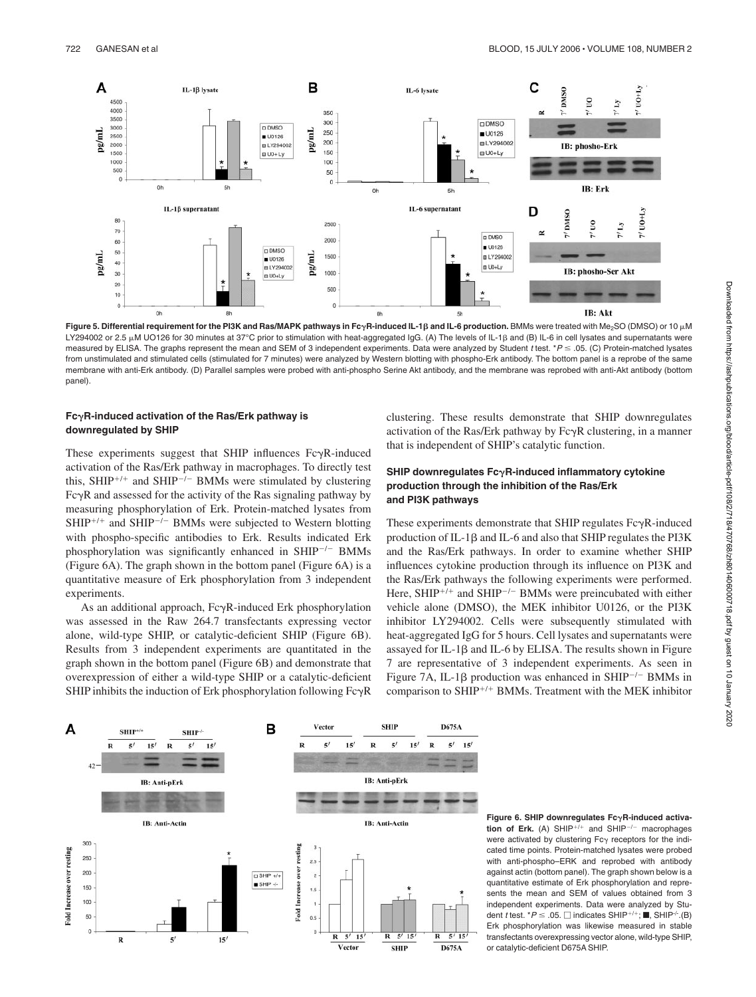

**Figure 5. Differential requirement for the PI3K and Ras/MAPK pathways in FcR-induced IL-1**- **and IL-6 production.** BMMs were treated with Me2SO (DMSO) or 10 M LY294002 or 2.5 µM UO126 for 30 minutes at 37°C prior to stimulation with heat-aggregated IgG. (A) The levels of IL-1 $\beta$  and (B) IL-6 in cell lysates and supernatants were measured by ELISA. The graphs represent the mean and SEM of 3 independent experiments. Data were analyzed by Student *t* test. \**P* .05. (C) Protein-matched lysates from unstimulated and stimulated cells (stimulated for 7 minutes) were analyzed by Western blotting with phospho-Erk antibody. The bottom panel is a reprobe of the same membrane with anti-Erk antibody. (D) Parallel samples were probed with anti-phospho Serine Akt antibody, and the membrane was reprobed with anti-Akt antibody (bottom panel).

### **FcR-induced activation of the Ras/Erk pathway is downregulated by SHIP**

These experiments suggest that SHIP influences  $Fc\gamma R$ -induced activation of the Ras/Erk pathway in macrophages. To directly test this, SHIP<sup>+/+</sup> and SHIP<sup>-/-</sup> BMMs were stimulated by clustering  $Fc\gamma R$  and assessed for the activity of the Ras signaling pathway by measuring phosphorylation of Erk. Protein-matched lysates from  $SHIP^{+/+}$  and  $SHIP^{-/-}$  BMMs were subjected to Western blotting with phospho-specific antibodies to Erk. Results indicated Erk phosphorylation was significantly enhanced in  $SHIP^{-/-}$  BMMs (Figure 6A). The graph shown in the bottom panel (Figure 6A) is a quantitative measure of Erk phosphorylation from 3 independent experiments.

As an additional approach,  $Fc\gamma R$ -induced Erk phosphorylation was assessed in the Raw 264.7 transfectants expressing vector alone, wild-type SHIP, or catalytic-deficient SHIP (Figure 6B). Results from 3 independent experiments are quantitated in the graph shown in the bottom panel (Figure 6B) and demonstrate that overexpression of either a wild-type SHIP or a catalytic-deficient SHIP inhibits the induction of Erk phosphorylation following  $Fc\gamma R$  clustering. These results demonstrate that SHIP downregulates activation of the Ras/Erk pathway by  $Fc\gamma R$  clustering, in a manner that is independent of SHIP's catalytic function.

# SHIP downregulates Fc<sub>Y</sub>R-induced inflammatory cytokine **production through the inhibition of the Ras/Erk and PI3K pathways**

These experiments demonstrate that SHIP regulates  $Fc\gamma R$ -induced production of IL-1 $\beta$  and IL-6 and also that SHIP regulates the PI3K and the Ras/Erk pathways. In order to examine whether SHIP influences cytokine production through its influence on PI3K and the Ras/Erk pathways the following experiments were performed. Here, SHIP<sup>+/+</sup> and SHIP<sup>-/-</sup> BMMs were preincubated with either vehicle alone (DMSO), the MEK inhibitor U0126, or the PI3K inhibitor LY294002. Cells were subsequently stimulated with heat-aggregated IgG for 5 hours. Cell lysates and supernatants were assayed for IL-1 $\beta$  and IL-6 by ELISA. The results shown in Figure 7 are representative of 3 independent experiments. As seen in Figure 7A, IL-1 $\beta$  production was enhanced in SHIP<sup>-/-</sup> BMMs in comparison to SHIP<sup>+/+</sup> BMMs. Treatment with the MEK inhibitor



**Figure 6. SHIP downregulates FcR-induced activation of Erk.** (A) SHIP $+7$  and SHIP $-7$  macrophages were activated by clustering  $Fc\gamma$  receptors for the indicated time points. Protein-matched lysates were probed with anti-phospho–ERK and reprobed with antibody against actin (bottom panel). The graph shown below is a quantitative estimate of Erk phosphorylation and represents the mean and SEM of values obtained from 3 independent experiments. Data were analyzed by Student *t* test.  $^*P \leq .05$ .  $\Box$  indicates SHIP<sup>+/+</sup>;  $\blacksquare$ , SHIP<sup>-/-</sup>.(B) Erk phosphorylation was likewise measured in stable transfectants overexpressing vector alone, wild-type SHIP, or catalytic-deficient D675A SHIP.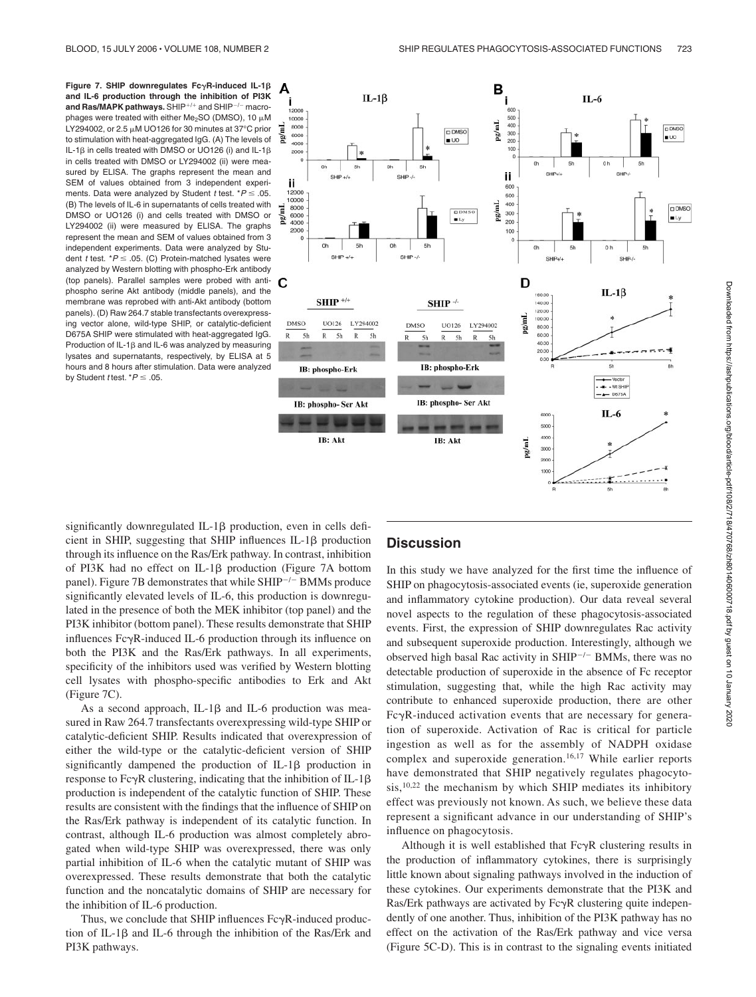**Figure 7. SHIP downregulates FcγR-induced IL-1β and IL-6 production through the inhibition of PI3K** and Ras/MAPK pathways. SHIP<sup>+/+</sup> and SHIP<sup>-/-</sup> macrophages were treated with either Me<sub>2</sub>SO (DMSO), 10  $\mu$ M LY294002, or 2.5  $\mu$ M UO126 for 30 minutes at 37°C prior to stimulation with heat-aggregated IgG. (A) The levels of IL-1 $\beta$  in cells treated with DMSO or UO126 (i) and IL-1 $\beta$ in cells treated with DMSO or LY294002 (ii) were measured by ELISA. The graphs represent the mean and SEM of values obtained from 3 independent experiments. Data were analyzed by Student *t* test.  $*P \leq .05$ . (B) The levels of IL-6 in supernatants of cells treated with DMSO or UO126 (i) and cells treated with DMSO or LY294002 (ii) were measured by ELISA. The graphs represent the mean and SEM of values obtained from 3 independent experiments. Data were analyzed by Student *t* test. \**P* ≤ .05. (C) Protein-matched lysates were analyzed by Western blotting with phospho-Erk antibody (top panels). Parallel samples were probed with antiphospho serine Akt antibody (middle panels), and the membrane was reprobed with anti-Akt antibody (bottom panels). (D) Raw 264.7 stable transfectants overexpressing vector alone, wild-type SHIP, or catalytic-deficient D675A SHIP were stimulated with heat-aggregated IgG. Production of IL-1 $\beta$  and IL-6 was analyzed by measuring lysates and supernatants, respectively, by ELISA at 5 hours and 8 hours after stimulation. Data were analyzed by Student *t* test.  $*P \leq .05$ .



significantly downregulated IL-1 $\beta$  production, even in cells deficient in SHIP, suggesting that SHIP influences  $IL-1\beta$  production through its influence on the Ras/Erk pathway. In contrast, inhibition of PI3K had no effect on IL-1 $\beta$  production (Figure 7A bottom panel). Figure 7B demonstrates that while  $SHIP^{-/-}$  BMMs produce significantly elevated levels of IL-6, this production is downregulated in the presence of both the MEK inhibitor (top panel) and the PI3K inhibitor (bottom panel). These results demonstrate that SHIP influences  $Fc\gamma R$ -induced IL-6 production through its influence on both the PI3K and the Ras/Erk pathways. In all experiments, specificity of the inhibitors used was verified by Western blotting cell lysates with phospho-specific antibodies to Erk and Akt (Figure 7C).

As a second approach, IL-1 $\beta$  and IL-6 production was measured in Raw 264.7 transfectants overexpressing wild-type SHIP or catalytic-deficient SHIP. Results indicated that overexpression of either the wild-type or the catalytic-deficient version of SHIP significantly dampened the production of IL-1 $\beta$  production in response to Fc $\gamma$ R clustering, indicating that the inhibition of IL-1 $\beta$ production is independent of the catalytic function of SHIP. These results are consistent with the findings that the influence of SHIP on the Ras/Erk pathway is independent of its catalytic function. In contrast, although IL-6 production was almost completely abrogated when wild-type SHIP was overexpressed, there was only partial inhibition of IL-6 when the catalytic mutant of SHIP was overexpressed. These results demonstrate that both the catalytic function and the noncatalytic domains of SHIP are necessary for the inhibition of IL-6 production.

Thus, we conclude that SHIP influences  $Fc\gamma R$ -induced production of IL-1 $\beta$  and IL-6 through the inhibition of the Ras/Erk and PI3K pathways.

# **Discussion**

In this study we have analyzed for the first time the influence of SHIP on phagocytosis-associated events (ie, superoxide generation and inflammatory cytokine production). Our data reveal several novel aspects to the regulation of these phagocytosis-associated events. First, the expression of SHIP downregulates Rac activity and subsequent superoxide production. Interestingly, although we observed high basal Rac activity in  $SHIP^{-/-}$  BMMs, there was no detectable production of superoxide in the absence of Fc receptor stimulation, suggesting that, while the high Rac activity may contribute to enhanced superoxide production, there are other  $Fc\gamma R$ -induced activation events that are necessary for generation of superoxide. Activation of Rac is critical for particle ingestion as well as for the assembly of NADPH oxidase complex and superoxide generation.<sup>16,17</sup> While earlier reports have demonstrated that SHIP negatively regulates phagocytosis,<sup>10,22</sup> the mechanism by which SHIP mediates its inhibitory effect was previously not known. As such, we believe these data represent a significant advance in our understanding of SHIP's influence on phagocytosis.

Although it is well established that  $Fc\gamma R$  clustering results in the production of inflammatory cytokines, there is surprisingly little known about signaling pathways involved in the induction of these cytokines. Our experiments demonstrate that the PI3K and Ras/Erk pathways are activated by  $Fc\gamma R$  clustering quite independently of one another. Thus, inhibition of the PI3K pathway has no effect on the activation of the Ras/Erk pathway and vice versa (Figure 5C-D). This is in contrast to the signaling events initiated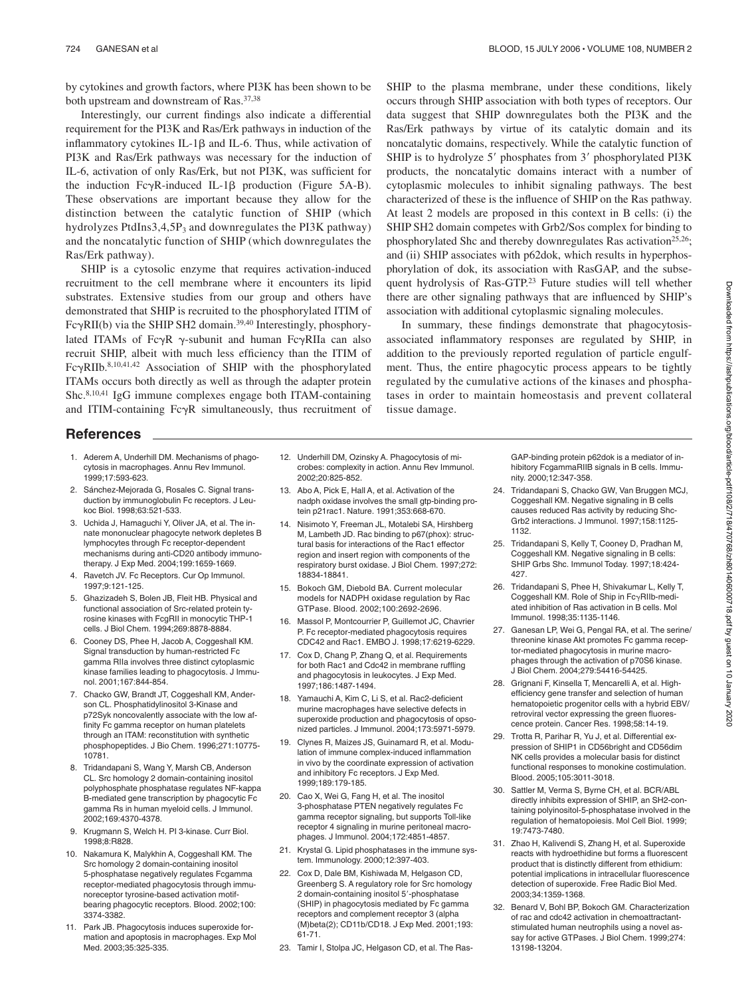by cytokines and growth factors, where PI3K has been shown to be both upstream and downstream of Ras.<sup>37,38</sup>

Interestingly, our current findings also indicate a differential requirement for the PI3K and Ras/Erk pathways in induction of the inflammatory cytokines IL-1 $\beta$  and IL-6. Thus, while activation of PI3K and Ras/Erk pathways was necessary for the induction of IL-6, activation of only Ras/Erk, but not PI3K, was sufficient for the induction  $Fc\gamma R$ -induced IL-1 $\beta$  production (Figure 5A-B). These observations are important because they allow for the distinction between the catalytic function of SHIP (which hydrolyzes PtdIns $3,4,5P_3$  and downregulates the PI3K pathway) and the noncatalytic function of SHIP (which downregulates the Ras/Erk pathway).

SHIP is a cytosolic enzyme that requires activation-induced recruitment to the cell membrane where it encounters its lipid substrates. Extensive studies from our group and others have demonstrated that SHIP is recruited to the phosphorylated ITIM of  $Fc\gamma RII(b)$  via the SHIP SH2 domain.<sup>39,40</sup> Interestingly, phosphorylated ITAMs of Fc $\gamma R \gamma$ -subunit and human Fc $\gamma R$ IIa can also recruit SHIP, albeit with much less efficiency than the ITIM of  $Fc\gamma RIIb.^{8,10,41,42}$  Association of SHIP with the phosphorylated ITAMs occurs both directly as well as through the adapter protein Shc.8,10,41 IgG immune complexes engage both ITAM-containing and ITIM-containing  $Fc\gamma R$  simultaneously, thus recruitment of

SHIP to the plasma membrane, under these conditions, likely occurs through SHIP association with both types of receptors. Our data suggest that SHIP downregulates both the PI3K and the Ras/Erk pathways by virtue of its catalytic domain and its noncatalytic domains, respectively. While the catalytic function of SHIP is to hydrolyze 5' phosphates from 3' phosphorylated PI3K products, the noncatalytic domains interact with a number of cytoplasmic molecules to inhibit signaling pathways. The best characterized of these is the influence of SHIP on the Ras pathway. At least 2 models are proposed in this context in B cells: (i) the SHIP SH2 domain competes with Grb2/Sos complex for binding to phosphorylated Shc and thereby downregulates Ras activation<sup>25,26</sup>; and (ii) SHIP associates with p62dok, which results in hyperphosphorylation of dok, its association with RasGAP, and the subsequent hydrolysis of Ras-GTP.23 Future studies will tell whether there are other signaling pathways that are influenced by SHIP's association with additional cytoplasmic signaling molecules.

In summary, these findings demonstrate that phagocytosisassociated inflammatory responses are regulated by SHIP, in addition to the previously reported regulation of particle engulfment. Thus, the entire phagocytic process appears to be tightly regulated by the cumulative actions of the kinases and phosphatases in order to maintain homeostasis and prevent collateral tissue damage.

# **References**

- 1. Aderem A, Underhill DM. Mechanisms of phagocytosis in macrophages. Annu Rev Immunol. 1999;17:593-623.
- 2. Sánchez-Mejorada G, Rosales C, Signal transduction by immunoglobulin Fc receptors. J Leukoc Biol. 1998;63:521-533.
- 3. Uchida J, Hamaguchi Y, Oliver JA, et al. The innate mononuclear phagocyte network depletes B lymphocytes through Fc receptor-dependent mechanisms during anti-CD20 antibody immunotherapy. J Exp Med. 2004;199:1659-1669.
- 4. Ravetch JV. Fc Receptors. Cur Op Immunol. 1997;9:121-125.
- 5. Ghazizadeh S, Bolen JB, Fleit HB. Physical and functional association of Src-related protein tyrosine kinases with FcgRII in monocytic THP-1 cells. J Biol Chem. 1994;269:8878-8884.
- 6. Cooney DS, Phee H, Jacob A, Coggeshall KM. Signal transduction by human-restricted Fc gamma RIIa involves three distinct cytoplasmic kinase families leading to phagocytosis. J Immunol. 2001;167:844-854.
- 7. Chacko GW, Brandt JT, Coggeshall KM, Anderson CL. Phosphatidylinositol 3-Kinase and p72Syk noncovalently associate with the low affinity Fc gamma receptor on human platelets through an ITAM: reconstitution with synthetic phosphopeptides. J Bio Chem. 1996;271:10775- 10781.
- 8. Tridandapani S, Wang Y, Marsh CB, Anderson CL. Src homology 2 domain-containing inositol polyphosphate phosphatase regulates NF-kappa B-mediated gene transcription by phagocytic Fc gamma Rs in human myeloid cells. J Immunol. 2002;169:4370-4378.
- 9. Krugmann S, Welch H. PI 3-kinase. Curr Biol. 1998;8:R828.
- 10. Nakamura K, Malykhin A, Coggeshall KM. The Src homology 2 domain-containing inositol 5-phosphatase negatively regulates Fcgamma receptor-mediated phagocytosis through immunoreceptor tyrosine-based activation motifbearing phagocytic receptors. Blood. 2002;100: 3374-3382.
- 11. Park JB. Phagocytosis induces superoxide formation and apoptosis in macrophages. Exp Mol Med. 2003;35:325-335.
- 12. Underhill DM, Ozinsky A. Phagocytosis of microbes: complexity in action. Annu Rev Immunol. 2002;20:825-852.
- 13. Abo A, Pick E, Hall A, et al. Activation of the nadph oxidase involves the small gtp-binding protein p21rac1. Nature. 1991;353:668-670.
- 14. Nisimoto Y, Freeman JL, Motalebi SA, Hirshberg M, Lambeth JD. Rac binding to p67(phox): structural basis for interactions of the Rac1 effector region and insert region with components of the respiratory burst oxidase. J Biol Chem. 1997;272: 18834-18841.
- 15. Bokoch GM, Diebold BA. Current molecular models for NADPH oxidase regulation by Rac GTPase. Blood. 2002;100:2692-2696.
- 16. Massol P, Montcourrier P, Guillemot JC, Chavrier P. Fc receptor-mediated phagocytosis requires CDC42 and Rac1. EMBO J. 1998;17:6219-6229.
- 17. Cox D, Chang P, Zhang Q, et al. Requirements for both Rac1 and Cdc42 in membrane ruffling and phagocytosis in leukocytes. J Exp Med. 1997;186:1487-1494.
- 18. Yamauchi A, Kim C, Li S, et al. Rac2-deficient murine macrophages have selective defects in superoxide production and phagocytosis of opsonized particles. J Immunol. 2004;173:5971-5979.
- 19. Clynes R, Maizes JS, Guinamard R, et al. Modulation of immune complex-induced inflammation in vivo by the coordinate expression of activation and inhibitory Fc receptors. J Exp Med. 1999;189:179-185.
- 20. Cao X, Wei G, Fang H, et al. The inositol 3-phosphatase PTEN negatively regulates Fc gamma receptor signaling, but supports Toll-like receptor 4 signaling in murine peritoneal macrophages. J Immunol. 2004;172:4851-4857.
- 21. Krystal G. Lipid phosphatases in the immune system. Immunology. 2000;12:397-403.
- 22. Cox D, Dale BM, Kishiwada M, Helgason CD, Greenberg S. A regulatory role for Src homology 2 domain-containing inositol 5--phosphatase (SHIP) in phagocytosis mediated by Fc gamma receptors and complement receptor 3 (alpha (M)beta(2); CD11b/CD18. J Exp Med. 2001;193: 61-71.
- 23. Tamir I, Stolpa JC, Helgason CD, et al. The Ras-

GAP-binding protein p62dok is a mediator of inhibitory FcgammaRIIB signals in B cells. Immunity. 2000;12:347-358.

- 24. Tridandapani S, Chacko GW, Van Bruggen MCJ, Coggeshall KM. Negative signaling in B cells causes reduced Ras activity by reducing Shc-Grb2 interactions. J Immunol. 1997;158:1125- 1132.
- 25. Tridandapani S, Kelly T, Cooney D, Pradhan M, Coggeshall KM. Negative signaling in B cells: SHIP Grbs Shc. Immunol Today. 1997;18:424- 427.
- 26. Tridandapani S, Phee H, Shivakumar L, Kelly T, Coggeshall KM. Role of Ship in FcyRIIb-mediated inhibition of Ras activation in B cells. Mol Immunol. 1998;35:1135-1146.
- 27. Ganesan LP, Wei G, Pengal RA, et al. The serine/ threonine kinase Akt promotes Fc gamma receptor-mediated phagocytosis in murine macrophages through the activation of p70S6 kinase. J Biol Chem. 2004;279:54416-54425.
- 28. Grignani F, Kinsella T, Mencarelli A, et al. Highefficiency gene transfer and selection of human hematopoietic progenitor cells with a hybrid EBV/ retroviral vector expressing the green fluorescence protein. Cancer Res. 1998;58:14-19.
- 29. Trotta R, Parihar R, Yu J, et al. Differential expression of SHIP1 in CD56bright and CD56dim NK cells provides a molecular basis for distinct functional responses to monokine costimulation. Blood. 2005;105:3011-3018.
- 30. Sattler M, Verma S, Byrne CH, et al. BCR/ABL directly inhibits expression of SHIP, an SH2-containing polyinositol-5-phosphatase involved in the regulation of hematopoiesis. Mol Cell Biol. 1999; 19:7473-7480.
- 31. Zhao H, Kalivendi S, Zhang H, et al. Superoxide reacts with hydroethidine but forms a fluorescent product that is distinctly different from ethidium: potential implications in intracellular fluorescence detection of superoxide. Free Radic Biol Med. 2003;34:1359-1368.
- 32. Benard V, Bohl BP, Bokoch GM. Characterization of rac and cdc42 activation in chemoattractantstimulated human neutrophils using a novel assay for active GTPases. J Biol Chem. 1999;274: 13198-13204.